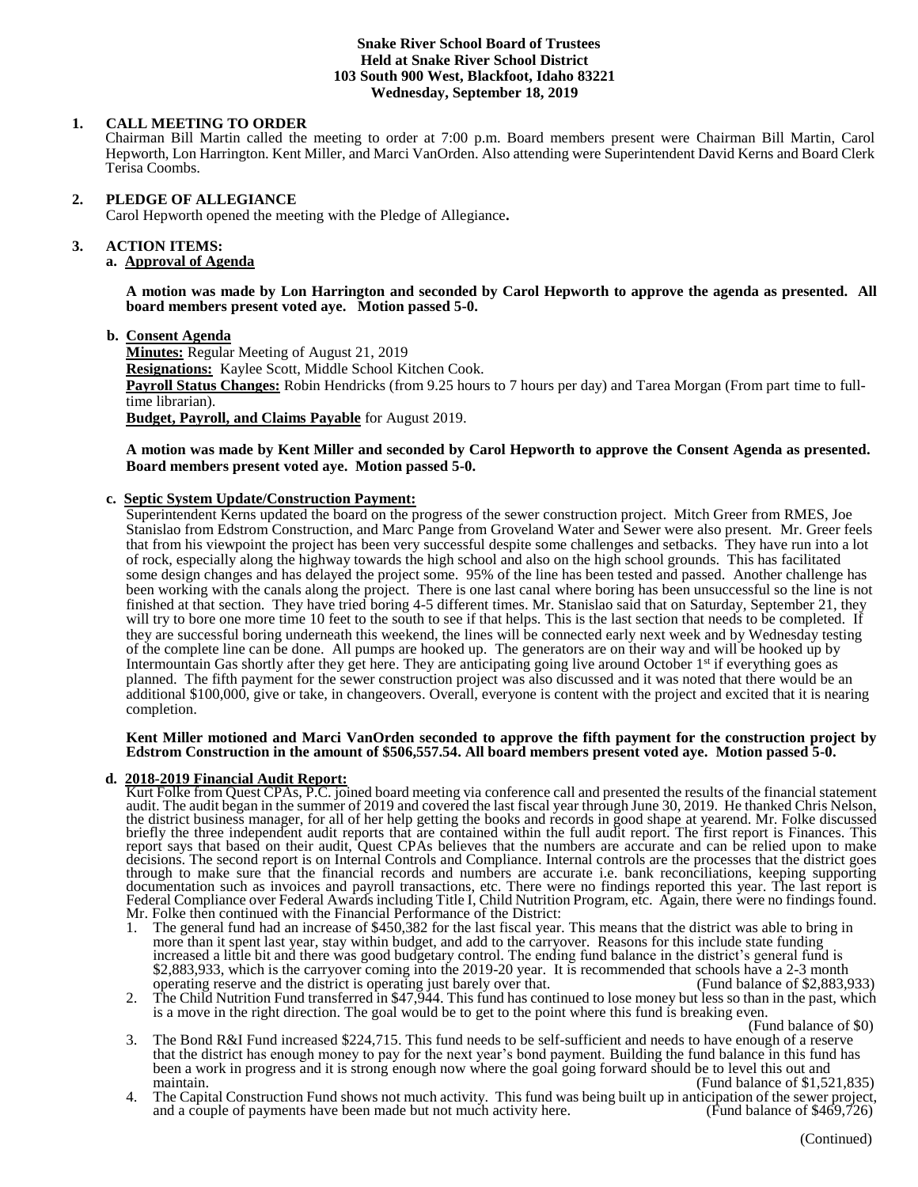#### **Snake River School Board of Trustees Held at Snake River School District 103 South 900 West, Blackfoot, Idaho 83221 Wednesday, September 18, 2019**

## **1. CALL MEETING TO ORDER**

Chairman Bill Martin called the meeting to order at 7:00 p.m. Board members present were Chairman Bill Martin, Carol Hepworth, Lon Harrington. Kent Miller, and Marci VanOrden. Also attending were Superintendent David Kerns and Board Clerk Terisa Coombs.

### **2. PLEDGE OF ALLEGIANCE**

Carol Hepworth opened the meeting with the Pledge of Allegiance**.** 

## **3. ACTION ITEMS:**

# **a. Approval of Agenda**

**A motion was made by Lon Harrington and seconded by Carol Hepworth to approve the agenda as presented. All board members present voted aye. Motion passed 5-0.**

#### **b. Consent Agenda**

**Minutes:** Regular Meeting of August 21, 2019 **Resignations:** Kaylee Scott, Middle School Kitchen Cook. **Payroll Status Changes:** Robin Hendricks (from 9.25 hours to 7 hours per day) and Tarea Morgan (From part time to fulltime librarian). **Budget, Payroll, and Claims Payable** for August 2019.

### **A motion was made by Kent Miller and seconded by Carol Hepworth to approve the Consent Agenda as presented. Board members present voted aye. Motion passed 5-0.**

## **c. Septic System Update/Construction Payment:**

Superintendent Kerns updated the board on the progress of the sewer construction project. Mitch Greer from RMES, Joe Stanislao from Edstrom Construction, and Marc Pange from Groveland Water and Sewer were also present. Mr. Greer feels that from his viewpoint the project has been very successful despite some challenges and setbacks. They have run into a lot of rock, especially along the highway towards the high school and also on the high school grounds. This has facilitated some design changes and has delayed the project some. 95% of the line has been tested and passed. Another challenge has been working with the canals along the project. There is one last canal where boring has been unsuccessful so the line is not finished at that section. They have tried boring 4-5 different times. Mr. Stanislao said that on Saturday, September 21, they will try to bore one more time 10 feet to the south to see if that helps. This is the last section that needs to be completed. If they are successful boring underneath this weekend, the lines will be connected early next week and by Wednesday testing of the complete line can be done. All pumps are hooked up. The generators are on their way and will be hooked up by Intermountain Gas shortly after they get here. They are anticipating going live around October  $1<sup>st</sup>$  if everything goes as planned. The fifth payment for the sewer construction project was also discussed and it was noted that there would be an additional \$100,000, give or take, in changeovers. Overall, everyone is content with the project and excited that it is nearing completion.

#### **Kent Miller motioned and Marci VanOrden seconded to approve the fifth payment for the construction project by Edstrom Construction in the amount of \$506,557.54. All board members present voted aye. Motion passed 5-0.**

### **d. 2018-2019 Financial Audit Report:**

Kurt Folke from Quest CPAs, P.C. joined board meeting via conference call and presented the results of the financial statement audit. The audit began in the summer of 2019 and covered the last fiscal year through June 30, 2019. He thanked Chris Nelson, the district business manager, for all of her help getting the books and records in good shape at yearend. Mr. Folke discussed briefly the three independent audit reports that are contained within the full audit report. The first report is Finances. This report says that based on their audit, Quest CPAs believes that the numbers are accurate and can be relied upon to make decisions. The second report is on Internal Controls and Compliance. Internal controls are the processes that the district goes through to make sure that the financial records and numbers are accurate i.e. bank reconciliations, keeping supporting documentation such as invoices and payroll transactions, etc. There were no findings reported this year. The last report is Federal Compliance over Federal Awards including Title I, Child Nutrition Program, etc. Again, there were no findings found. Mr. Folke then continued with the Financial Performance of the District:

- 1. The general fund had an increase of \$450,382 for the last fiscal year. This means that the district was able to bring in more than it spent last year, stay within budget, and add to the carryover. Reasons for this include state funding increased a little bit and there was good budgetary control. The ending fund balance in the district's general fund is \$2,883,933, which is the carryover coming into the 2019-20 year. It is recommended that schools have a 2-3 month operating reserve and the district is operating just barely over that. (Fund balance of \$2,883,933)
- 2. The Child Nutrition Fund transferred in \$47,944. This fund has continued to lose money but less so than in the past, which is a move in the right direction. The goal would be to get to the point where this fund is breaking even.

(Fund balance of \$0)

- 3. The Bond R&I Fund increased \$224,715. This fund needs to be self-sufficient and needs to have enough of a reserve that the district has enough money to pay for the next year's bond payment. Building the fund balance in this fund has been a work in progress and it is strong enough now where the goal going forward should be to level this out and maintain.  $\qquad \qquad$  (Fund balance of \$1,521,835)
- 4. The Capital Construction Fund shows not much activity. This fund was being built up in anticipation of the sewer project, and a couple of payments have been made but not much activity here. (Fund balance of \$469,726) and a couple of payments have been made but not much activity here.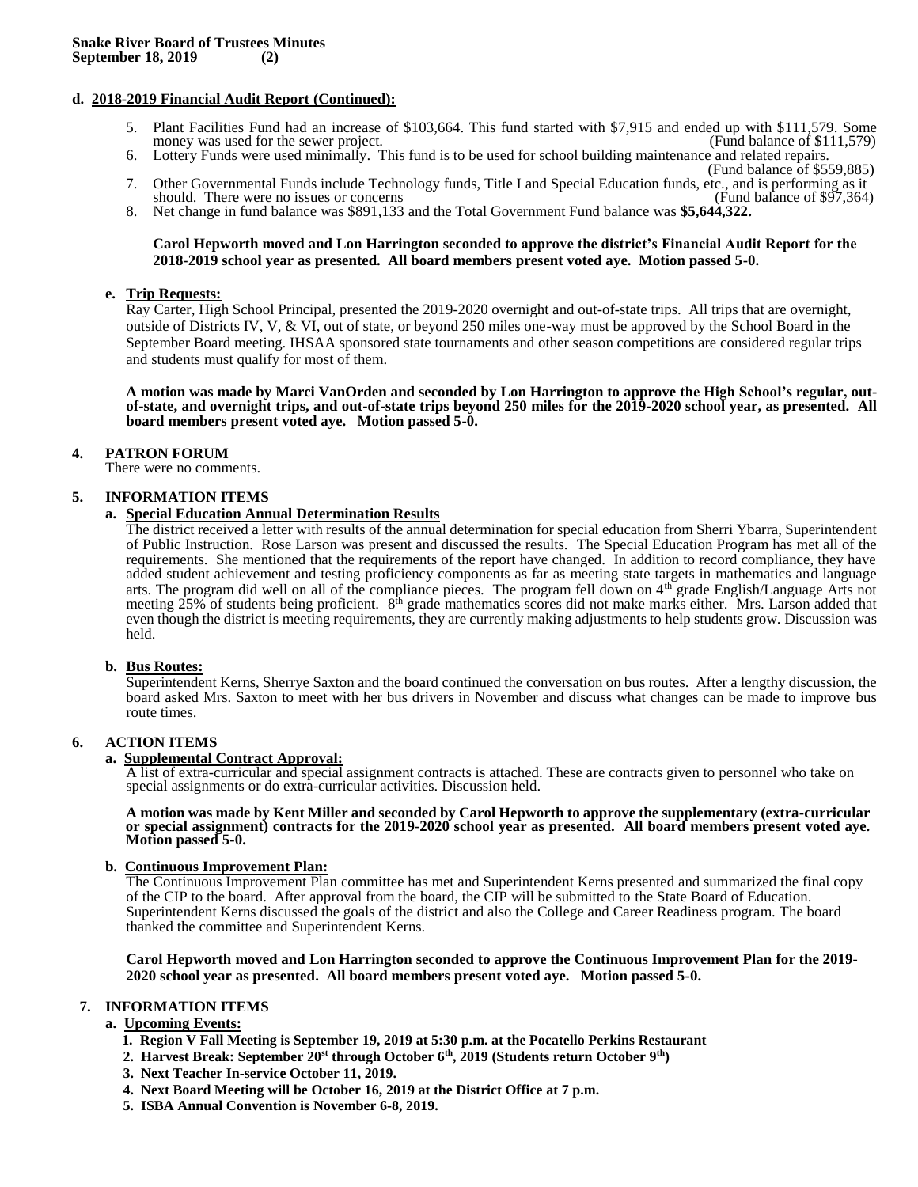### **d. 2018-2019 Financial Audit Report (Continued):**

- 5. Plant Facilities Fund had an increase of \$103,664. This fund started with \$7,915 and ended up with \$111,579. Some money was used for the sewer project. money was used for the sewer project.
- 6. Lottery Funds were used minimally. This fund is to be used for school building maintenance and related repairs. (Fund balance of \$559,885)
- 7. Other Governmental Funds include Technology funds, Title I and Special Education funds, etc., and is performing as it should. There were no issues or concerns
- 8. Net change in fund balance was \$891,133 and the Total Government Fund balance was **\$5,644,322.**

#### **Carol Hepworth moved and Lon Harrington seconded to approve the district's Financial Audit Report for the 2018-2019 school year as presented. All board members present voted aye. Motion passed 5-0.**

#### **e. Trip Requests:**

Ray Carter, High School Principal, presented the 2019-2020 overnight and out-of-state trips. All trips that are overnight, outside of Districts IV, V, & VI, out of state, or beyond 250 miles one-way must be approved by the School Board in the September Board meeting. IHSAA sponsored state tournaments and other season competitions are considered regular trips and students must qualify for most of them.

**A motion was made by Marci VanOrden and seconded by Lon Harrington to approve the High School's regular, outof-state, and overnight trips, and out-of-state trips beyond 250 miles for the 2019-2020 school year, as presented. All board members present voted aye. Motion passed 5-0.**

### **4. PATRON FORUM**

There were no comments.

### **5. INFORMATION ITEMS**

### **a. Special Education Annual Determination Results**

The district received a letter with results of the annual determination for special education from Sherri Ybarra, Superintendent of Public Instruction. Rose Larson was present and discussed the results. The Special Education Program has met all of the requirements. She mentioned that the requirements of the report have changed. In addition to record compliance, they have added student achievement and testing proficiency components as far as meeting state targets in mathematics and language arts. The program did well on all of the compliance pieces. The program fell down on 4th grade English/Language Arts not meeting  $25\%$  of students being proficient.  $8<sup>th</sup>$  grade mathematics scores did not make marks either. Mrs. Larson added that even though the district is meeting requirements, they are currently making adjustments to help students grow. Discussion was held.

### **b. Bus Routes:**

Superintendent Kerns, Sherrye Saxton and the board continued the conversation on bus routes. After a lengthy discussion, the board asked Mrs. Saxton to meet with her bus drivers in November and discuss what changes can be made to improve bus route times.

### **6. ACTION ITEMS**

#### **a. Supplemental Contract Approval:**

A list of extra-curricular and special assignment contracts is attached. These are contracts given to personnel who take on special assignments or do extra-curricular activities. Discussion held.

**A motion was made by Kent Miller and seconded by Carol Hepworth to approve the supplementary (extra-curricular or special assignment) contracts for the 2019-2020 school year as presented. All board members present voted aye. Motion passed 5-0.**

### **b. Continuous Improvement Plan:**

The Continuous Improvement Plan committee has met and Superintendent Kerns presented and summarized the final copy of the CIP to the board. After approval from the board, the CIP will be submitted to the State Board of Education. Superintendent Kerns discussed the goals of the district and also the College and Career Readiness program. The board thanked the committee and Superintendent Kerns.

**Carol Hepworth moved and Lon Harrington seconded to approve the Continuous Improvement Plan for the 2019- 2020 school year as presented. All board members present voted aye. Motion passed 5-0.**

## **7. INFORMATION ITEMS**

### **a. Upcoming Events:**

- **1. Region V Fall Meeting is September 19, 2019 at 5:30 p.m. at the Pocatello Perkins Restaurant**
- **2. Harvest Break: September 20st through October 6th, 2019 (Students return October 9th)**
- **3. Next Teacher In-service October 11, 2019.**
- **4. Next Board Meeting will be October 16, 2019 at the District Office at 7 p.m.**
- **5. ISBA Annual Convention is November 6-8, 2019.**